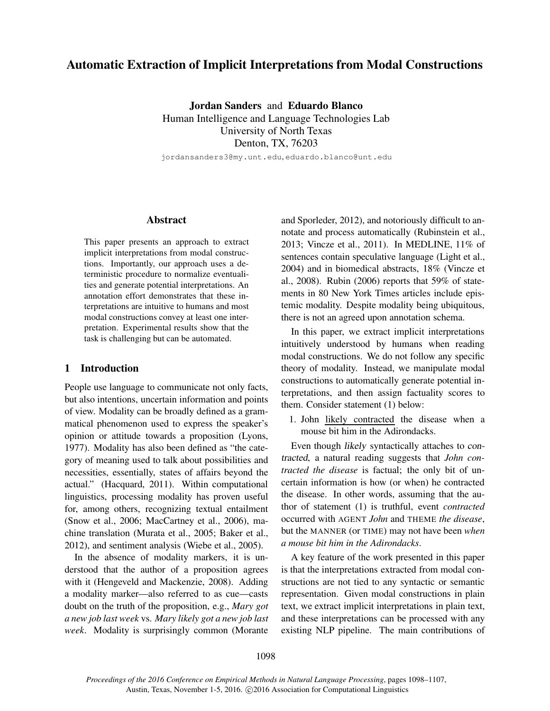# Automatic Extraction of Implicit Interpretations from Modal Constructions

Jordan Sanders and Eduardo Blanco Human Intelligence and Language Technologies Lab University of North Texas Denton, TX, 76203

jordansanders3@my.unt.edu, eduardo.blanco@unt.edu

#### Abstract

This paper presents an approach to extract implicit interpretations from modal constructions. Importantly, our approach uses a deterministic procedure to normalize eventualities and generate potential interpretations. An annotation effort demonstrates that these interpretations are intuitive to humans and most modal constructions convey at least one interpretation. Experimental results show that the task is challenging but can be automated.

### 1 Introduction

People use language to communicate not only facts, but also intentions, uncertain information and points of view. Modality can be broadly defined as a grammatical phenomenon used to express the speaker's opinion or attitude towards a proposition (Lyons, 1977). Modality has also been defined as "the category of meaning used to talk about possibilities and necessities, essentially, states of affairs beyond the actual." (Hacquard, 2011). Within computational linguistics, processing modality has proven useful for, among others, recognizing textual entailment (Snow et al., 2006; MacCartney et al., 2006), machine translation (Murata et al., 2005; Baker et al., 2012), and sentiment analysis (Wiebe et al., 2005).

In the absence of modality markers, it is understood that the author of a proposition agrees with it (Hengeveld and Mackenzie, 2008). Adding a modality marker—also referred to as cue—casts doubt on the truth of the proposition, e.g., *Mary got a new job last week* vs. *Mary likely got a new job last week*. Modality is surprisingly common (Morante and Sporleder, 2012), and notoriously difficult to annotate and process automatically (Rubinstein et al., 2013; Vincze et al., 2011). In MEDLINE, 11% of sentences contain speculative language (Light et al., 2004) and in biomedical abstracts, 18% (Vincze et al., 2008). Rubin (2006) reports that 59% of statements in 80 New York Times articles include epistemic modality. Despite modality being ubiquitous, there is not an agreed upon annotation schema.

In this paper, we extract implicit interpretations intuitively understood by humans when reading modal constructions. We do not follow any specific theory of modality. Instead, we manipulate modal constructions to automatically generate potential interpretations, and then assign factuality scores to them. Consider statement (1) below:

1. John likely contracted the disease when a mouse bit him in the Adirondacks.

Even though likely syntactically attaches to contracted, a natural reading suggests that *John contracted the disease* is factual; the only bit of uncertain information is how (or when) he contracted the disease. In other words, assuming that the author of statement (1) is truthful, event *contracted* occurred with AGENT *John* and THEME *the disease*, but the MANNER (or TIME) may not have been *when a mouse bit him in the Adirondacks*.

A key feature of the work presented in this paper is that the interpretations extracted from modal constructions are not tied to any syntactic or semantic representation. Given modal constructions in plain text, we extract implicit interpretations in plain text, and these interpretations can be processed with any existing NLP pipeline. The main contributions of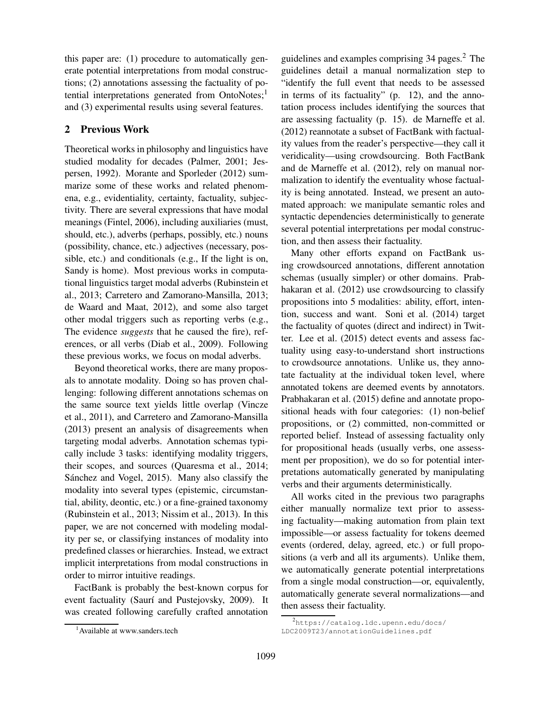this paper are: (1) procedure to automatically generate potential interpretations from modal constructions; (2) annotations assessing the factuality of potential interpretations generated from  $OntoNotes;<sup>1</sup>$ and (3) experimental results using several features.

# 2 Previous Work

Theoretical works in philosophy and linguistics have studied modality for decades (Palmer, 2001; Jespersen, 1992). Morante and Sporleder (2012) summarize some of these works and related phenomena, e.g., evidentiality, certainty, factuality, subjectivity. There are several expressions that have modal meanings (Fintel, 2006), including auxiliaries (must, should, etc.), adverbs (perhaps, possibly, etc.) nouns (possibility, chance, etc.) adjectives (necessary, possible, etc.) and conditionals (e.g., If the light is on, Sandy is home). Most previous works in computational linguistics target modal adverbs (Rubinstein et al., 2013; Carretero and Zamorano-Mansilla, 2013; de Waard and Maat, 2012), and some also target other modal triggers such as reporting verbs (e.g., The evidence *suggests* that he caused the fire), references, or all verbs (Diab et al., 2009). Following these previous works, we focus on modal adverbs.

Beyond theoretical works, there are many proposals to annotate modality. Doing so has proven challenging: following different annotations schemas on the same source text yields little overlap (Vincze et al., 2011), and Carretero and Zamorano-Mansilla (2013) present an analysis of disagreements when targeting modal adverbs. Annotation schemas typically include 3 tasks: identifying modality triggers, their scopes, and sources (Quaresma et al., 2014; Sánchez and Vogel, 2015). Many also classify the modality into several types (epistemic, circumstantial, ability, deontic, etc.) or a fine-grained taxonomy (Rubinstein et al., 2013; Nissim et al., 2013). In this paper, we are not concerned with modeling modality per se, or classifying instances of modality into predefined classes or hierarchies. Instead, we extract implicit interpretations from modal constructions in order to mirror intuitive readings.

FactBank is probably the best-known corpus for event factuality (Saurí and Pustejovsky, 2009). It was created following carefully crafted annotation

guidelines and examples comprising 34 pages.<sup>2</sup> The guidelines detail a manual normalization step to "identify the full event that needs to be assessed in terms of its factuality" (p. 12), and the annotation process includes identifying the sources that are assessing factuality (p. 15). de Marneffe et al. (2012) reannotate a subset of FactBank with factuality values from the reader's perspective—they call it veridicality—using crowdsourcing. Both FactBank and de Marneffe et al. (2012), rely on manual normalization to identify the eventuality whose factuality is being annotated. Instead, we present an automated approach: we manipulate semantic roles and syntactic dependencies deterministically to generate several potential interpretations per modal construction, and then assess their factuality.

Many other efforts expand on FactBank using crowdsourced annotations, different annotation schemas (usually simpler) or other domains. Prabhakaran et al. (2012) use crowdsourcing to classify propositions into 5 modalities: ability, effort, intention, success and want. Soni et al. (2014) target the factuality of quotes (direct and indirect) in Twitter. Lee et al. (2015) detect events and assess factuality using easy-to-understand short instructions to crowdsource annotations. Unlike us, they annotate factuality at the individual token level, where annotated tokens are deemed events by annotators. Prabhakaran et al. (2015) define and annotate propositional heads with four categories: (1) non-belief propositions, or (2) committed, non-committed or reported belief. Instead of assessing factuality only for propositional heads (usually verbs, one assessment per proposition), we do so for potential interpretations automatically generated by manipulating verbs and their arguments deterministically.

All works cited in the previous two paragraphs either manually normalize text prior to assessing factuality—making automation from plain text impossible—or assess factuality for tokens deemed events (ordered, delay, agreed, etc.) or full propositions (a verb and all its arguments). Unlike them, we automatically generate potential interpretations from a single modal construction—or, equivalently, automatically generate several normalizations—and then assess their factuality.

<sup>&</sup>lt;sup>1</sup> Available at www.sanders.tech

<sup>2</sup> https://catalog.ldc.upenn.edu/docs/ LDC2009T23/annotationGuidelines.pdf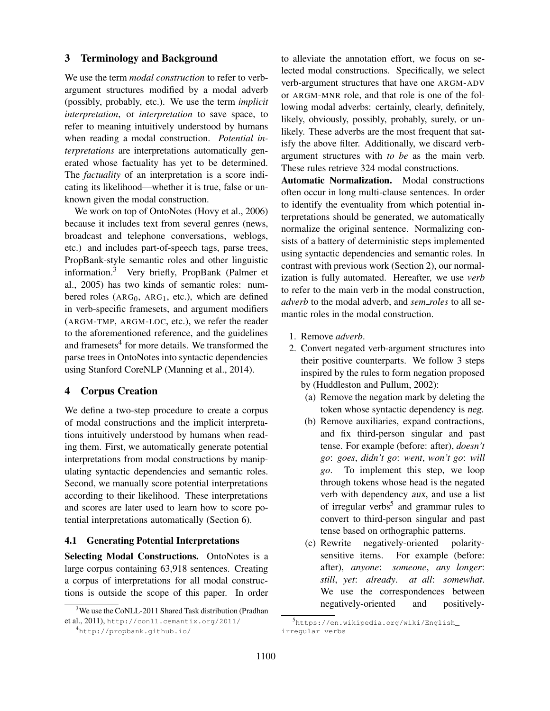### 3 Terminology and Background

We use the term *modal construction* to refer to verbargument structures modified by a modal adverb (possibly, probably, etc.). We use the term *implicit interpretation*, or *interpretation* to save space, to refer to meaning intuitively understood by humans when reading a modal construction. *Potential interpretations* are interpretations automatically generated whose factuality has yet to be determined. The *factuality* of an interpretation is a score indicating its likelihood—whether it is true, false or unknown given the modal construction.

We work on top of OntoNotes (Hovy et al., 2006) because it includes text from several genres (news, broadcast and telephone conversations, weblogs, etc.) and includes part-of-speech tags, parse trees, PropBank-style semantic roles and other linguistic information.<sup>3</sup> Very briefly, PropBank (Palmer et al., 2005) has two kinds of semantic roles: numbered roles ( $ARG<sub>0</sub>$ ,  $ARG<sub>1</sub>$ , etc.), which are defined in verb-specific framesets, and argument modifiers (ARGM-TMP, ARGM-LOC, etc.), we refer the reader to the aforementioned reference, and the guidelines and framesets<sup>4</sup> for more details. We transformed the parse trees in OntoNotes into syntactic dependencies using Stanford CoreNLP (Manning et al., 2014).

#### 4 Corpus Creation

We define a two-step procedure to create a corpus of modal constructions and the implicit interpretations intuitively understood by humans when reading them. First, we automatically generate potential interpretations from modal constructions by manipulating syntactic dependencies and semantic roles. Second, we manually score potential interpretations according to their likelihood. These interpretations and scores are later used to learn how to score potential interpretations automatically (Section 6).

## 4.1 Generating Potential Interpretations

Selecting Modal Constructions. OntoNotes is a large corpus containing 63,918 sentences. Creating a corpus of interpretations for all modal constructions is outside the scope of this paper. In order

to alleviate the annotation effort, we focus on selected modal constructions. Specifically, we select verb-argument structures that have one ARGM-ADV or ARGM-MNR role, and that role is one of the following modal adverbs: certainly, clearly, definitely, likely, obviously, possibly, probably, surely, or unlikely. These adverbs are the most frequent that satisfy the above filter. Additionally, we discard verbargument structures with *to be* as the main verb. These rules retrieve 324 modal constructions.

Automatic Normalization. Modal constructions often occur in long multi-clause sentences. In order to identify the eventuality from which potential interpretations should be generated, we automatically normalize the original sentence. Normalizing consists of a battery of deterministic steps implemented using syntactic dependencies and semantic roles. In contrast with previous work (Section 2), our normalization is fully automated. Hereafter, we use *verb* to refer to the main verb in the modal construction, *adverb* to the modal adverb, and *sem roles* to all semantic roles in the modal construction.

- 1. Remove *adverb*.
- 2. Convert negated verb-argument structures into their positive counterparts. We follow 3 steps inspired by the rules to form negation proposed by (Huddleston and Pullum, 2002):
	- (a) Remove the negation mark by deleting the token whose syntactic dependency is neg.
	- (b) Remove auxiliaries, expand contractions, and fix third-person singular and past tense. For example (before: after), *doesn't go*: *goes*, *didn't go*: *went*, *won't go*: *will go*. To implement this step, we loop through tokens whose head is the negated verb with dependency aux, and use a list of irregular verbs<sup>5</sup> and grammar rules to convert to third-person singular and past tense based on orthographic patterns.
	- (c) Rewrite negatively-oriented polaritysensitive items. For example (before: after), *anyone*: *someone*, *any longer*: *still*, *yet*: *already*. *at all*: *somewhat*. We use the correspondences between negatively-oriented and positively-

<sup>&</sup>lt;sup>3</sup>We use the CoNLL-2011 Shared Task distribution (Pradhan et al., 2011), http://conll.cemantix.org/2011/

<sup>4</sup> http://propbank.github.io/

<sup>5</sup> https://en.wikipedia.org/wiki/English\_ irregular\_verbs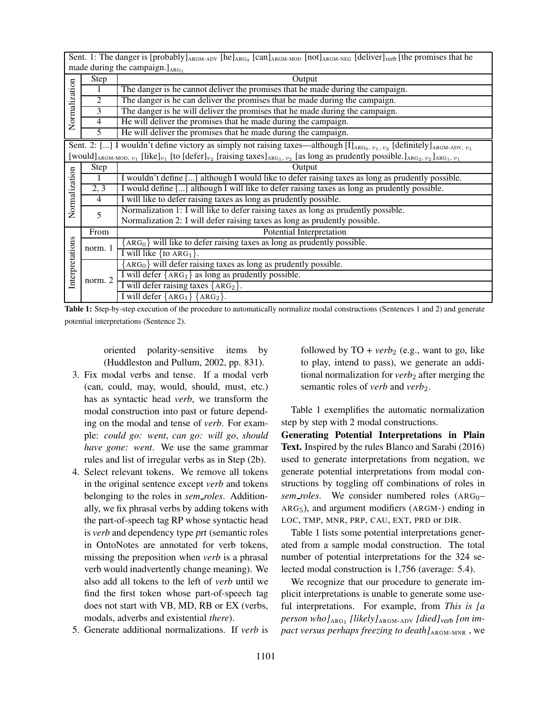Sent. 1: The danger is [probably] $_{ARGM-ADV}$  [he] $_{ARG_0}$  [can] $_{ARGM-MOD}$  [not] $_{ARGM-NEG}$  [deliver] $_{verb}$  [the promises that he

|                                                                                                                                                                                                         | made during the campaign. $]_{ABG_1}$ |                                                                                                  |  |  |  |
|---------------------------------------------------------------------------------------------------------------------------------------------------------------------------------------------------------|---------------------------------------|--------------------------------------------------------------------------------------------------|--|--|--|
| Normalization                                                                                                                                                                                           | Step                                  | Output                                                                                           |  |  |  |
|                                                                                                                                                                                                         |                                       | The danger is he cannot deliver the promises that he made during the campaign.                   |  |  |  |
|                                                                                                                                                                                                         | $\overline{2}$                        | The danger is he can deliver the promises that he made during the campaign.                      |  |  |  |
|                                                                                                                                                                                                         | 3                                     | The danger is he will deliver the promises that he made during the campaign.                     |  |  |  |
|                                                                                                                                                                                                         | $\overline{4}$                        | He will deliver the promises that he made during the campaign.                                   |  |  |  |
|                                                                                                                                                                                                         | 5                                     | He will deliver the promises that he made during the campaign.                                   |  |  |  |
| Sent. 2: [] I wouldn't define victory as simply not raising taxes—although $[I]_{ARG_0, v_1, v_2}$ [definitely] $_{ARGM-ADV, v_1}$                                                                      |                                       |                                                                                                  |  |  |  |
| [would] <sub>ARGM-MOD, <math>v_1</math></sub> [like] $v_1$ [to [defer] $v_2$ [raising taxes] <sub>ARG1</sub> , $v_2$ [as long as prudently possible.] <sub>ARG2</sub> , $v_2$ ] <sub>ARG1</sub> , $v_1$ |                                       |                                                                                                  |  |  |  |
|                                                                                                                                                                                                         | Step                                  | Output                                                                                           |  |  |  |
|                                                                                                                                                                                                         | 1                                     | I wouldn't define [] although I would like to defer raising taxes as long as prudently possible. |  |  |  |
|                                                                                                                                                                                                         | 2, 3                                  | I would define [] although I will like to defer raising taxes as long as prudently possible.     |  |  |  |
| Normalization                                                                                                                                                                                           | $\overline{4}$                        | I will like to defer raising taxes as long as prudently possible.                                |  |  |  |
|                                                                                                                                                                                                         | 5                                     | Normalization 1: I will like to defer raising taxes as long as prudently possible.               |  |  |  |
|                                                                                                                                                                                                         |                                       | Normalization 2: I will defer raising taxes as long as prudently possible.                       |  |  |  |
| Interpretations                                                                                                                                                                                         | From                                  | Potential Interpretation                                                                         |  |  |  |
|                                                                                                                                                                                                         | norm. 1                               | $[ABC0]$ will like to defer raising taxes as long as prudently possible.                         |  |  |  |
|                                                                                                                                                                                                         |                                       | I will like $\{to ARG_1\}.$                                                                      |  |  |  |
|                                                                                                                                                                                                         | norm. 2                               | $ARG0$ will defer raising taxes as long as prudently possible.                                   |  |  |  |
|                                                                                                                                                                                                         |                                       | I will defer ${ARG_1}$ as long as prudently possible.                                            |  |  |  |
|                                                                                                                                                                                                         |                                       | I will defer raising taxes ${ARG_2}$ .                                                           |  |  |  |
|                                                                                                                                                                                                         |                                       | I will defer $\{ARG_1\}$ $\{ARG_2\}$ .                                                           |  |  |  |

Table 1: Step-by-step execution of the procedure to automatically normalize modal constructions (Sentences 1 and 2) and generate potential interpretations (Sentence 2).

oriented polarity-sensitive items by (Huddleston and Pullum, 2002, pp. 831).

- 3. Fix modal verbs and tense. If a modal verb (can, could, may, would, should, must, etc.) has as syntactic head *verb*, we transform the modal construction into past or future depending on the modal and tense of *verb*. For example: *could go: went*, *can go: will go*, *should have gone: went*. We use the same grammar rules and list of irregular verbs as in Step (2b).
- 4. Select relevant tokens. We remove all tokens in the original sentence except *verb* and tokens belonging to the roles in *sem roles*. Additionally, we fix phrasal verbs by adding tokens with the part-of-speech tag RP whose syntactic head is *verb* and dependency type prt (semantic roles in OntoNotes are annotated for verb tokens, missing the preposition when *verb* is a phrasal verb would inadvertently change meaning). We also add all tokens to the left of *verb* until we find the first token whose part-of-speech tag does not start with VB, MD, RB or EX (verbs, modals, adverbs and existential *there*).
- 5. Generate additional normalizations. If *verb* is

followed by  $TO + verb_2$  (e.g., want to go, like to play, intend to pass), we generate an additional normalization for *verb*<sub>2</sub> after merging the semantic roles of *verb* and *verb*<sub>2</sub>.

Table 1 exemplifies the automatic normalization step by step with 2 modal constructions.

Generating Potential Interpretations in Plain Text. Inspired by the rules Blanco and Sarabi (2016) used to generate interpretations from negation, we generate potential interpretations from modal constructions by toggling off combinations of roles in  $sem\_roles.$  We consider numbered roles  $(ARG<sub>0</sub>–$ ARG5), and argument modifiers (ARGM-) ending in LOC, TMP, MNR, PRP, CAU, EXT, PRD or DIR.

Table 1 lists some potential interpretations generated from a sample modal construction. The total number of potential interpretations for the 324 selected modal construction is 1,756 (average: 5.4).

We recognize that our procedure to generate implicit interpretations is unable to generate some useful interpretations. For example, from *This is [a person who]*ARG<sup>1</sup> *[likely]*ARGM-ADV *[died]*verb *[on impact versus perhaps freezing to death* $J_{\text{ARGM-MNR}}$ , we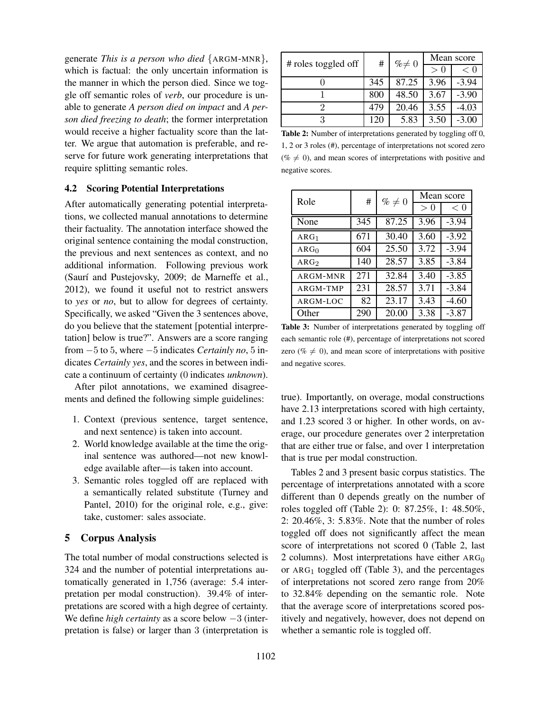generate *This is a person who died* {ARGM-MNR}, which is factual: the only uncertain information is the manner in which the person died. Since we toggle off semantic roles of *verb*, our procedure is unable to generate *A person died on impact* and *A person died freezing to death*; the former interpretation would receive a higher factuality score than the latter. We argue that automation is preferable, and reserve for future work generating interpretations that require splitting semantic roles.

#### 4.2 Scoring Potential Interpretations

After automatically generating potential interpretations, we collected manual annotations to determine their factuality. The annotation interface showed the original sentence containing the modal construction, the previous and next sentences as context, and no additional information. Following previous work (Saurí and Pustejovsky, 2009; de Marneffe et al., 2012), we found it useful not to restrict answers to *yes* or *no*, but to allow for degrees of certainty. Specifically, we asked "Given the 3 sentences above, do you believe that the statement [potential interpretation] below is true?". Answers are a score ranging from −5 to 5, where −5 indicates *Certainly no*, 5 indicates *Certainly yes*, and the scores in between indicate a continuum of certainty (0 indicates *unknown*).

After pilot annotations, we examined disagreements and defined the following simple guidelines:

- 1. Context (previous sentence, target sentence, and next sentence) is taken into account.
- 2. World knowledge available at the time the original sentence was authored—not new knowledge available after—is taken into account.
- 3. Semantic roles toggled off are replaced with a semantically related substitute (Turney and Pantel, 2010) for the original role, e.g., give: take, customer: sales associate.

### 5 Corpus Analysis

The total number of modal constructions selected is 324 and the number of potential interpretations automatically generated in 1,756 (average: 5.4 interpretation per modal construction). 39.4% of interpretations are scored with a high degree of certainty. We define *high certainty* as a score below −3 (interpretation is false) or larger than 3 (interpretation is

|                     | #   | $% \neq 0$ | Mean score       |         |
|---------------------|-----|------------|------------------|---------|
| # roles toggled off |     |            | $\left( \right)$ | < 0     |
|                     | 345 | 87.25      | 3.96             | $-3.94$ |
|                     | 800 | 48.50      | 3.67             | $-3.90$ |
|                     | 479 | 20.46      | 3.55             | -4.03   |
| റ                   | 120 | 5.83       | 3.50             | -3.00   |

Table 2: Number of interpretations generated by toggling off 0, 1, 2 or 3 roles (#), percentage of interpretations not scored zero ( $\% \neq 0$ ), and mean scores of interpretations with positive and negative scores.

| Role             | #   | $\% \neq 0$ | Mean score               |         |
|------------------|-----|-------------|--------------------------|---------|
|                  |     |             | $\Omega$<br>$\mathbf{I}$ | < 0     |
| None             | 345 | 87.25       | 3.96                     | $-3.94$ |
| ARG <sub>1</sub> | 671 | 30.40       | 3.60                     | $-3.92$ |
| ARG <sub>0</sub> | 604 | 25.50       | 3.72                     | $-3.94$ |
| ARG <sub>2</sub> | 140 | 28.57       | 3.85                     | $-3.84$ |
| ARGM-MNR         | 271 | 32.84       | 3.40                     | $-3.85$ |
| ARGM-TMP         | 231 | 28.57       | 3.71                     | $-3.84$ |
| ARGM-LOC         | 82  | 23.17       | 3.43                     | $-4.60$ |
| Other            | 290 | 20.00       | 3.38                     | $-3.87$ |

Table 3: Number of interpretations generated by toggling off each semantic role (#), percentage of interpretations not scored zero ( $\% \neq 0$ ), and mean score of interpretations with positive and negative scores.

true). Importantly, on overage, modal constructions have 2.13 interpretations scored with high certainty, and 1.23 scored 3 or higher. In other words, on average, our procedure generates over 2 interpretation that are either true or false, and over 1 interpretation that is true per modal construction.

Tables 2 and 3 present basic corpus statistics. The percentage of interpretations annotated with a score different than 0 depends greatly on the number of roles toggled off (Table 2): 0: 87.25%, 1: 48.50%, 2: 20.46%, 3: 5.83%. Note that the number of roles toggled off does not significantly affect the mean score of interpretations not scored 0 (Table 2, last 2 columns). Most interpretations have either  $ARG<sub>0</sub>$ or  $ARG_1$  toggled off (Table 3), and the percentages of interpretations not scored zero range from 20% to 32.84% depending on the semantic role. Note that the average score of interpretations scored positively and negatively, however, does not depend on whether a semantic role is toggled off.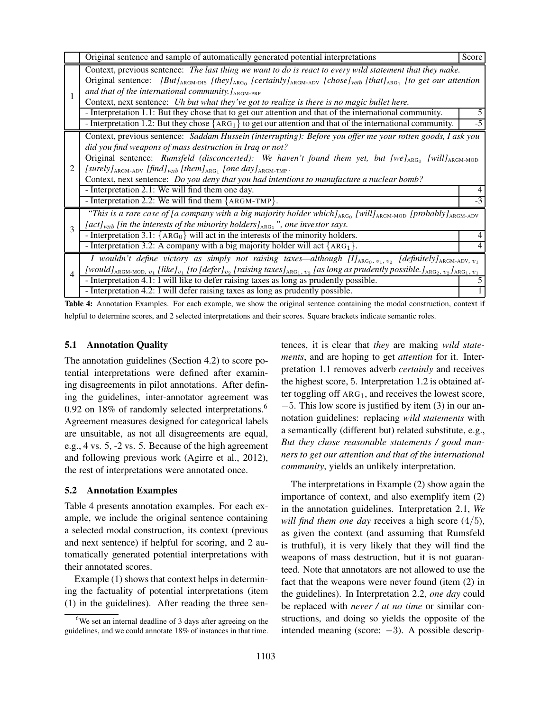|              | Original sentence and sample of automatically generated potential interpretations                                                                                                                                                                                                                                                                                                                                                                                                                                 | Score |  |  |
|--------------|-------------------------------------------------------------------------------------------------------------------------------------------------------------------------------------------------------------------------------------------------------------------------------------------------------------------------------------------------------------------------------------------------------------------------------------------------------------------------------------------------------------------|-------|--|--|
|              | Context, previous sentence: The last thing we want to do is react to every wild statement that they make.<br>Original sentence: [But] <sub>ARGM-DIS</sub> [they] <sub>ARGM</sub> [certainly] <sub>ARGM-ADV</sub> [chose] <sub>verb</sub> [that] <sub>ARG1</sub> [to get our attention<br>and that of the international community. $l_{\text{ARGM-PRP}}$<br>Context, next sentence: Uh but what they've got to realize is there is no magic bullet here.                                                           |       |  |  |
|              | - Interpretation 1.1: But they chose that to get our attention and that of the international community.<br>- Interpretation 1.2: But they chose ${ARG_1}$ to get our attention and that of the international community.                                                                                                                                                                                                                                                                                           | -5    |  |  |
| 2            | Context, previous sentence: Saddam Hussein (interrupting): Before you offer me your rotten goods, I ask you<br>did you find weapons of mass destruction in Iraq or not?<br>Original sentence: Rumsfeld (disconcerted): We haven't found them yet, but [we] $_{\text{ARG}_0}$ [will] $_{\text{ARG}_0}$<br>$[surely]_{\text{ARGM-ADV}}$ [find] <sub>verb</sub> [them] <sub>ARG1</sub> [one day] <sub>ARGM-TMP</sub> .<br>Context, next sentence: Do you deny that you had intentions to manufacture a nuclear bomb? |       |  |  |
|              | - Interpretation 2.1: We will find them one day.<br>- Interpretation 2.2: We will find them ${ARGM-TMP}$ .                                                                                                                                                                                                                                                                                                                                                                                                        | $-3$  |  |  |
| $\mathbf{3}$ | "This is a rare case of [a company with a big majority holder which] $_{\text{ARGO}}$ [will] $_{\text{ARGM-MOD}}$ [probably] $_{\text{ARGM-ADV}}$<br>[act] <sub>verb</sub> [in the interests of the minority holders] <sub>ARG1</sub> ", one investor says.                                                                                                                                                                                                                                                       |       |  |  |
|              | - Interpretation 3.1: ${ARG_0}$ will act in the interests of the minority holders.<br>- Interpretation 3.2: A company with a big majority holder will act $\{ARG_1\}$ .                                                                                                                                                                                                                                                                                                                                           |       |  |  |
| 4            | <i>I</i> wouldn't define victory as simply not raising taxes—although $II_{\text{ARG}_0, v_1, v_2}$ [definitely] <sub>ARGM-ADV, <math>v_1</math></sub><br>[would] <sub>ARGM-MOD, <math>v_1</math></sub> [like] $v_1$ [to [defer] $v_2$ [raising taxes] <sub>ARG1</sub> , $v_2$ [as long as prudently possible.] <sub>ARG2</sub> , $v_2$ ] <sub>ARG1</sub> , $v_1$<br>- Interpretation 4.1: I will like to defer raising taxes as long as prudently possible.                                                      |       |  |  |
|              | - Interpretation 4.2: I will defer raising taxes as long as prudently possible.                                                                                                                                                                                                                                                                                                                                                                                                                                   |       |  |  |

Table 4: Annotation Examples. For each example, we show the original sentence containing the modal construction, context if helpful to determine scores, and 2 selected interpretations and their scores. Square brackets indicate semantic roles.

#### 5.1 Annotation Quality

The annotation guidelines (Section 4.2) to score potential interpretations were defined after examining disagreements in pilot annotations. After defining the guidelines, inter-annotator agreement was 0.92 on 18% of randomly selected interpretations.<sup>6</sup> Agreement measures designed for categorical labels are unsuitable, as not all disagreements are equal, e.g., 4 vs. 5, -2 vs. 5. Because of the high agreement and following previous work (Agirre et al., 2012), the rest of interpretations were annotated once.

#### 5.2 Annotation Examples

Table 4 presents annotation examples. For each example, we include the original sentence containing a selected modal construction, its context (previous and next sentence) if helpful for scoring, and 2 automatically generated potential interpretations with their annotated scores.

Example (1) shows that context helps in determining the factuality of potential interpretations (item (1) in the guidelines). After reading the three sentences, it is clear that *they* are making *wild statements*, and are hoping to get *attention* for it. Interpretation 1.1 removes adverb *certainly* and receives the highest score, 5. Interpretation 1.2 is obtained after toggling off ARG<sub>1</sub>, and receives the lowest score, −5. This low score is justified by item (3) in our annotation guidelines: replacing *wild statements* with a semantically (different but) related substitute, e.g., *But they chose reasonable statements / good manners to get our attention and that of the international community*, yields an unlikely interpretation.

The interpretations in Example (2) show again the importance of context, and also exemplify item (2) in the annotation guidelines. Interpretation 2.1, *We will find them one day* receives a high score (4/5), as given the context (and assuming that Rumsfeld is truthful), it is very likely that they will find the weapons of mass destruction, but it is not guaranteed. Note that annotators are not allowed to use the fact that the weapons were never found (item (2) in the guidelines). In Interpretation 2.2, *one day* could be replaced with *never / at no time* or similar constructions, and doing so yields the opposite of the intended meaning (score:  $-3$ ). A possible descrip-

 $6$ We set an internal deadline of 3 days after agreeing on the guidelines, and we could annotate 18% of instances in that time.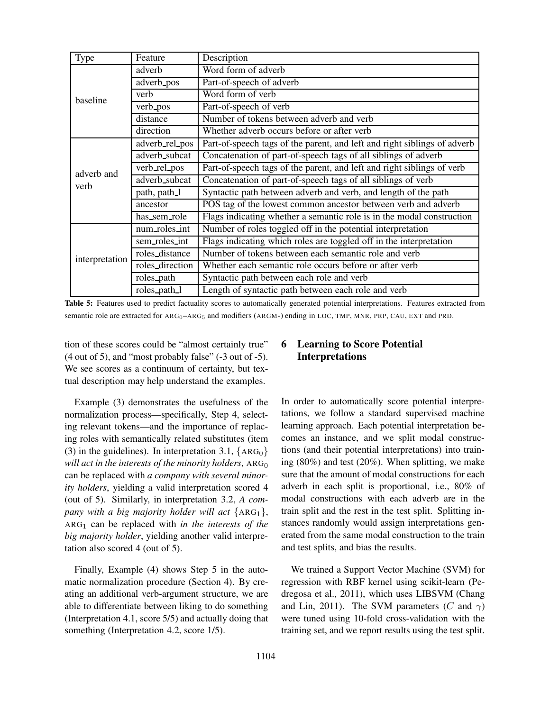| Type           | Feature         | Description                                                              |
|----------------|-----------------|--------------------------------------------------------------------------|
|                | adverb          | Word form of adverb                                                      |
|                | adverb_pos      | Part-of-speech of adverb                                                 |
| baseline       | verb            | Word form of verb                                                        |
|                | verb_pos        | Part-of-speech of verb                                                   |
|                | distance        | Number of tokens between adverb and verb                                 |
|                | direction       | Whether adverb occurs before or after verb                               |
|                | adverb_rel_pos  | Part-of-speech tags of the parent, and left and right siblings of adverb |
|                | adverb_subcat   | Concatenation of part-of-speech tags of all siblings of adverb           |
| adverb and     | verb_rel_pos    | Part-of-speech tags of the parent, and left and right siblings of verb   |
| verb           | adverb_subcat   | Concatenation of part-of-speech tags of all siblings of verb             |
|                | path, path_l    | Syntactic path between adverb and verb, and length of the path           |
|                | ancestor        | POS tag of the lowest common ancestor between verb and adverb            |
|                | has sem role    | Flags indicating whether a semantic role is in the modal construction    |
|                | num_roles_int   | Number of roles toggled off in the potential interpretation              |
|                | sem_roles_int   | Flags indicating which roles are toggled off in the interpretation       |
| interpretation | roles_distance  | Number of tokens between each semantic role and verb                     |
|                | roles_direction | Whether each semantic role occurs before or after verb                   |
|                | roles_path      | Syntactic path between each role and verb                                |
|                | roles_path_l    | Length of syntactic path between each role and verb                      |

Table 5: Features used to predict factuality scores to automatically generated potential interpretations. Features extracted from semantic role are extracted for ARG<sub>0</sub>–ARG<sub>5</sub> and modifiers (ARGM-) ending in LOC, TMP, MNR, PRP, CAU, EXT and PRD.

tion of these scores could be "almost certainly true" (4 out of 5), and "most probably false" (-3 out of -5). We see scores as a continuum of certainty, but textual description may help understand the examples.

Example (3) demonstrates the usefulness of the normalization process—specifically, Step 4, selecting relevant tokens—and the importance of replacing roles with semantically related substitutes (item (3) in the guidelines). In interpretation 3.1,  ${ARG_0}$ *will act in the interests of the minority holders, ARG*<sup>0</sup> can be replaced with *a company with several minority holders*, yielding a valid interpretation scored 4 (out of 5). Similarly, in interpretation 3.2, *A company with a big majority holder will act* {ARG1}, ARG<sup>1</sup> can be replaced with *in the interests of the big majority holder*, yielding another valid interpretation also scored 4 (out of 5).

Finally, Example (4) shows Step 5 in the automatic normalization procedure (Section 4). By creating an additional verb-argument structure, we are able to differentiate between liking to do something (Interpretation 4.1, score 5/5) and actually doing that something (Interpretation 4.2, score 1/5).

# 6 Learning to Score Potential Interpretations

In order to automatically score potential interpretations, we follow a standard supervised machine learning approach. Each potential interpretation becomes an instance, and we split modal constructions (and their potential interpretations) into training (80%) and test (20%). When splitting, we make sure that the amount of modal constructions for each adverb in each split is proportional, i.e., 80% of modal constructions with each adverb are in the train split and the rest in the test split. Splitting instances randomly would assign interpretations generated from the same modal construction to the train and test splits, and bias the results.

We trained a Support Vector Machine (SVM) for regression with RBF kernel using scikit-learn (Pedregosa et al., 2011), which uses LIBSVM (Chang and Lin, 2011). The SVM parameters (C and  $\gamma$ ) were tuned using 10-fold cross-validation with the training set, and we report results using the test split.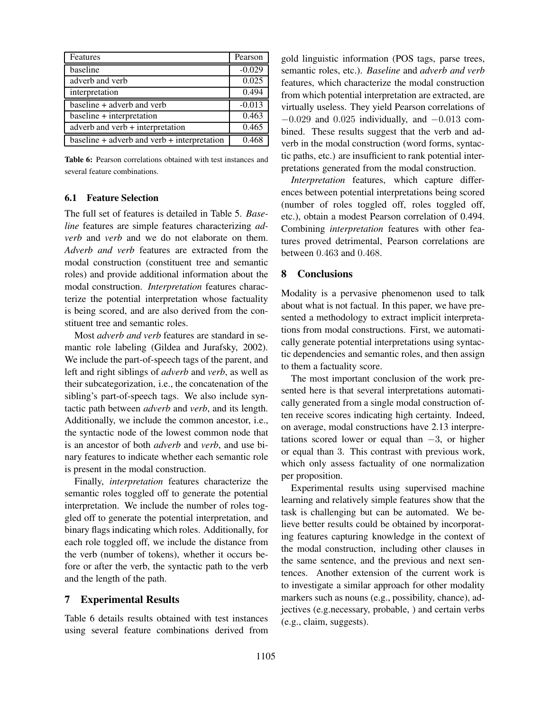| Features                                      | Pearson  |
|-----------------------------------------------|----------|
| baseline                                      | $-0.029$ |
| adverb and verb                               | 0.025    |
| interpretation                                | 0.494    |
| baseline + adverb and verb                    | $-0.013$ |
| $baseline + interpretation$                   | 0.463    |
| adverb and verb + interpretation              | 0.465    |
| $baseline + adverb and verb + interpretation$ | 0.468    |

Table 6: Pearson correlations obtained with test instances and several feature combinations.

## 6.1 Feature Selection

The full set of features is detailed in Table 5. *Baseline* features are simple features characterizing *adverb* and *verb* and we do not elaborate on them. *Adverb and verb* features are extracted from the modal construction (constituent tree and semantic roles) and provide additional information about the modal construction. *Interpretation* features characterize the potential interpretation whose factuality is being scored, and are also derived from the constituent tree and semantic roles.

Most *adverb and verb* features are standard in semantic role labeling (Gildea and Jurafsky, 2002). We include the part-of-speech tags of the parent, and left and right siblings of *adverb* and *verb*, as well as their subcategorization, i.e., the concatenation of the sibling's part-of-speech tags. We also include syntactic path between *adverb* and *verb*, and its length. Additionally, we include the common ancestor, i.e., the syntactic node of the lowest common node that is an ancestor of both *adverb* and *verb*, and use binary features to indicate whether each semantic role is present in the modal construction.

Finally, *interpretation* features characterize the semantic roles toggled off to generate the potential interpretation. We include the number of roles toggled off to generate the potential interpretation, and binary flags indicating which roles. Additionally, for each role toggled off, we include the distance from the verb (number of tokens), whether it occurs before or after the verb, the syntactic path to the verb and the length of the path.

#### 7 Experimental Results

Table 6 details results obtained with test instances using several feature combinations derived from gold linguistic information (POS tags, parse trees, semantic roles, etc.). *Baseline* and *adverb and verb* features, which characterize the modal construction from which potential interpretation are extracted, are virtually useless. They yield Pearson correlations of  $-0.029$  and  $0.025$  individually, and  $-0.013$  combined. These results suggest that the verb and adverb in the modal construction (word forms, syntactic paths, etc.) are insufficient to rank potential interpretations generated from the modal construction.

*Interpretation* features, which capture differences between potential interpretations being scored (number of roles toggled off, roles toggled off, etc.), obtain a modest Pearson correlation of 0.494. Combining *interpretation* features with other features proved detrimental, Pearson correlations are between 0.463 and 0.468.

## 8 Conclusions

Modality is a pervasive phenomenon used to talk about what is not factual. In this paper, we have presented a methodology to extract implicit interpretations from modal constructions. First, we automatically generate potential interpretations using syntactic dependencies and semantic roles, and then assign to them a factuality score.

The most important conclusion of the work presented here is that several interpretations automatically generated from a single modal construction often receive scores indicating high certainty. Indeed, on average, modal constructions have 2.13 interpretations scored lower or equal than  $-3$ , or higher or equal than 3. This contrast with previous work, which only assess factuality of one normalization per proposition.

Experimental results using supervised machine learning and relatively simple features show that the task is challenging but can be automated. We believe better results could be obtained by incorporating features capturing knowledge in the context of the modal construction, including other clauses in the same sentence, and the previous and next sentences. Another extension of the current work is to investigate a similar approach for other modality markers such as nouns (e.g., possibility, chance), adjectives (e.g.necessary, probable, ) and certain verbs (e.g., claim, suggests).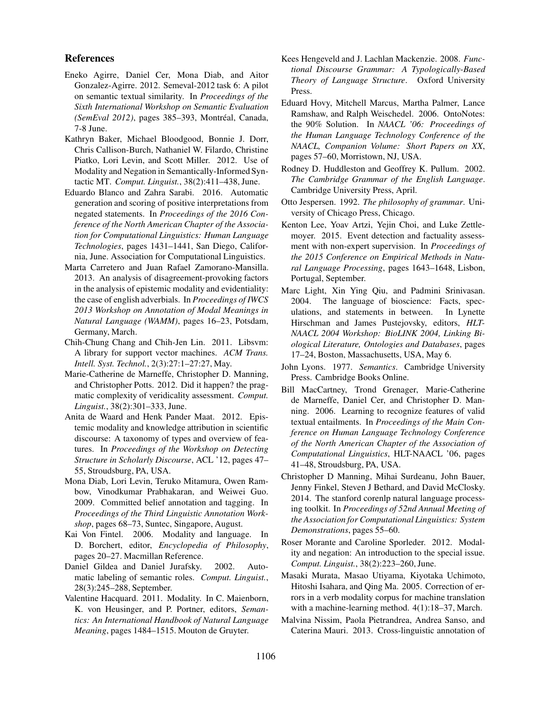#### References

- Eneko Agirre, Daniel Cer, Mona Diab, and Aitor Gonzalez-Agirre. 2012. Semeval-2012 task 6: A pilot on semantic textual similarity. In *Proceedings of the Sixth International Workshop on Semantic Evaluation (SemEval 2012)*, pages 385-393, Montréal, Canada, 7-8 June.
- Kathryn Baker, Michael Bloodgood, Bonnie J. Dorr, Chris Callison-Burch, Nathaniel W. Filardo, Christine Piatko, Lori Levin, and Scott Miller. 2012. Use of Modality and Negation in Semantically-Informed Syntactic MT. *Comput. Linguist.*, 38(2):411–438, June.
- Eduardo Blanco and Zahra Sarabi. 2016. Automatic generation and scoring of positive interpretations from negated statements. In *Proceedings of the 2016 Conference of the North American Chapter of the Association for Computational Linguistics: Human Language Technologies*, pages 1431–1441, San Diego, California, June. Association for Computational Linguistics.
- Marta Carretero and Juan Rafael Zamorano-Mansilla. 2013. An analysis of disagreement-provoking factors in the analysis of epistemic modality and evidentiality: the case of english adverbials. In *Proceedings of IWCS 2013 Workshop on Annotation of Modal Meanings in Natural Language (WAMM)*, pages 16–23, Potsdam, Germany, March.
- Chih-Chung Chang and Chih-Jen Lin. 2011. Libsvm: A library for support vector machines. *ACM Trans. Intell. Syst. Technol.*, 2(3):27:1–27:27, May.
- Marie-Catherine de Marneffe, Christopher D. Manning, and Christopher Potts. 2012. Did it happen? the pragmatic complexity of veridicality assessment. *Comput. Linguist.*, 38(2):301–333, June.
- Anita de Waard and Henk Pander Maat. 2012. Epistemic modality and knowledge attribution in scientific discourse: A taxonomy of types and overview of features. In *Proceedings of the Workshop on Detecting Structure in Scholarly Discourse*, ACL '12, pages 47– 55, Stroudsburg, PA, USA.
- Mona Diab, Lori Levin, Teruko Mitamura, Owen Rambow, Vinodkumar Prabhakaran, and Weiwei Guo. 2009. Committed belief annotation and tagging. In *Proceedings of the Third Linguistic Annotation Workshop*, pages 68–73, Suntec, Singapore, August.
- Kai Von Fintel. 2006. Modality and language. In D. Borchert, editor, *Encyclopedia of Philosophy*, pages 20–27. Macmillan Reference.
- Daniel Gildea and Daniel Jurafsky. 2002. Automatic labeling of semantic roles. *Comput. Linguist.*, 28(3):245–288, September.
- Valentine Hacquard. 2011. Modality. In C. Maienborn, K. von Heusinger, and P. Portner, editors, *Semantics: An International Handbook of Natural Language Meaning*, pages 1484–1515. Mouton de Gruyter.
- Kees Hengeveld and J. Lachlan Mackenzie. 2008. *Functional Discourse Grammar: A Typologically-Based Theory of Language Structure*. Oxford University Press.
- Eduard Hovy, Mitchell Marcus, Martha Palmer, Lance Ramshaw, and Ralph Weischedel. 2006. OntoNotes: the 90% Solution. In *NAACL '06: Proceedings of the Human Language Technology Conference of the NAACL, Companion Volume: Short Papers on XX*, pages 57–60, Morristown, NJ, USA.
- Rodney D. Huddleston and Geoffrey K. Pullum. 2002. *The Cambridge Grammar of the English Language*. Cambridge University Press, April.
- Otto Jespersen. 1992. *The philosophy of grammar*. University of Chicago Press, Chicago.
- Kenton Lee, Yoav Artzi, Yejin Choi, and Luke Zettlemoyer. 2015. Event detection and factuality assessment with non-expert supervision. In *Proceedings of the 2015 Conference on Empirical Methods in Natural Language Processing*, pages 1643–1648, Lisbon, Portugal, September.
- Marc Light, Xin Ying Qiu, and Padmini Srinivasan. 2004. The language of bioscience: Facts, speculations, and statements in between. In Lynette Hirschman and James Pustejovsky, editors, *HLT-NAACL 2004 Workshop: BioLINK 2004, Linking Biological Literature, Ontologies and Databases*, pages 17–24, Boston, Massachusetts, USA, May 6.
- John Lyons. 1977. *Semantics*. Cambridge University Press. Cambridge Books Online.
- Bill MacCartney, Trond Grenager, Marie-Catherine de Marneffe, Daniel Cer, and Christopher D. Manning. 2006. Learning to recognize features of valid textual entailments. In *Proceedings of the Main Conference on Human Language Technology Conference of the North American Chapter of the Association of Computational Linguistics*, HLT-NAACL '06, pages 41–48, Stroudsburg, PA, USA.
- Christopher D Manning, Mihai Surdeanu, John Bauer, Jenny Finkel, Steven J Bethard, and David McClosky. 2014. The stanford corenlp natural language processing toolkit. In *Proceedings of 52nd Annual Meeting of the Association for Computational Linguistics: System Demonstrations*, pages 55–60.
- Roser Morante and Caroline Sporleder. 2012. Modality and negation: An introduction to the special issue. *Comput. Linguist.*, 38(2):223–260, June.
- Masaki Murata, Masao Utiyama, Kiyotaka Uchimoto, Hitoshi Isahara, and Qing Ma. 2005. Correction of errors in a verb modality corpus for machine translation with a machine-learning method.  $4(1)$ :18–37, March.
- Malvina Nissim, Paola Pietrandrea, Andrea Sanso, and Caterina Mauri. 2013. Cross-linguistic annotation of